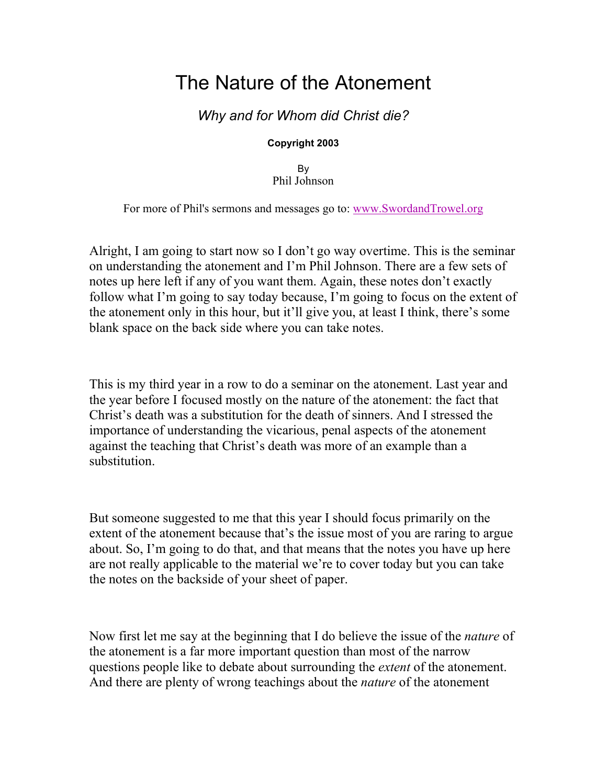# The Nature of the Atonement

## Why and for Whom did Christ die?

#### Copyright 2003

By Phil Johnson

For more of Phil's sermons and messages go to: www.SwordandTrowel.org

Alright, I am going to start now so I don't go way overtime. This is the seminar on understanding the atonement and I'm Phil Johnson. There are a few sets of notes up here left if any of you want them. Again, these notes don't exactly follow what I'm going to say today because, I'm going to focus on the extent of the atonement only in this hour, but it'll give you, at least I think, there's some blank space on the back side where you can take notes.

This is my third year in a row to do a seminar on the atonement. Last year and the year before I focused mostly on the nature of the atonement: the fact that Christ's death was a substitution for the death of sinners. And I stressed the importance of understanding the vicarious, penal aspects of the atonement against the teaching that Christ's death was more of an example than a substitution.

But someone suggested to me that this year I should focus primarily on the extent of the atonement because that's the issue most of you are raring to argue about. So, I'm going to do that, and that means that the notes you have up here are not really applicable to the material we're to cover today but you can take the notes on the backside of your sheet of paper.

Now first let me say at the beginning that I do believe the issue of the *nature* of the atonement is a far more important question than most of the narrow questions people like to debate about surrounding the extent of the atonement. And there are plenty of wrong teachings about the *nature* of the atonement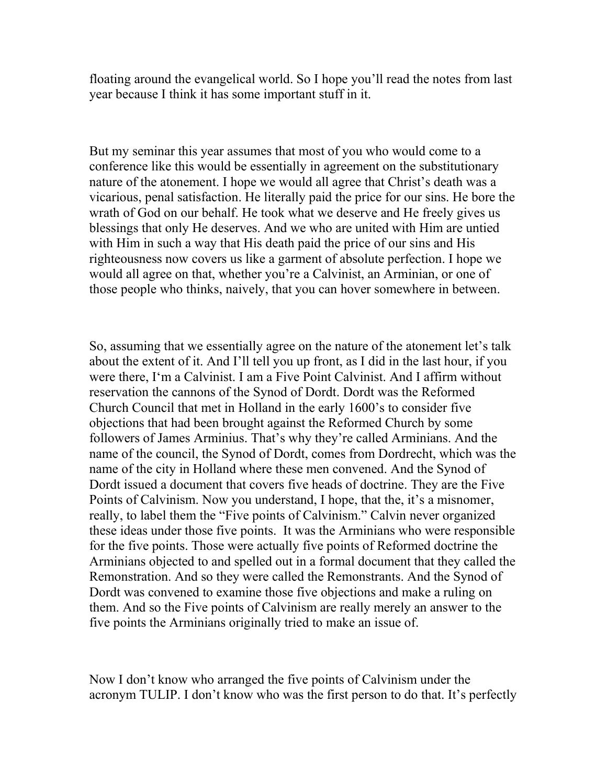floating around the evangelical world. So I hope you'll read the notes from last year because I think it has some important stuff in it.

But my seminar this year assumes that most of you who would come to a conference like this would be essentially in agreement on the substitutionary nature of the atonement. I hope we would all agree that Christ's death was a vicarious, penal satisfaction. He literally paid the price for our sins. He bore the wrath of God on our behalf. He took what we deserve and He freely gives us blessings that only He deserves. And we who are united with Him are untied with Him in such a way that His death paid the price of our sins and His righteousness now covers us like a garment of absolute perfection. I hope we would all agree on that, whether you're a Calvinist, an Arminian, or one of those people who thinks, naively, that you can hover somewhere in between.

So, assuming that we essentially agree on the nature of the atonement let's talk about the extent of it. And I'll tell you up front, as I did in the last hour, if you were there, I'm a Calvinist. I am a Five Point Calvinist. And I affirm without reservation the cannons of the Synod of Dordt. Dordt was the Reformed Church Council that met in Holland in the early 1600's to consider five objections that had been brought against the Reformed Church by some followers of James Arminius. That's why they're called Arminians. And the name of the council, the Synod of Dordt, comes from Dordrecht, which was the name of the city in Holland where these men convened. And the Synod of Dordt issued a document that covers five heads of doctrine. They are the Five Points of Calvinism. Now you understand, I hope, that the, it's a misnomer, really, to label them the "Five points of Calvinism." Calvin never organized these ideas under those five points. It was the Arminians who were responsible for the five points. Those were actually five points of Reformed doctrine the Arminians objected to and spelled out in a formal document that they called the Remonstration. And so they were called the Remonstrants. And the Synod of Dordt was convened to examine those five objections and make a ruling on them. And so the Five points of Calvinism are really merely an answer to the five points the Arminians originally tried to make an issue of.

Now I don't know who arranged the five points of Calvinism under the acronym TULIP. I don't know who was the first person to do that. It's perfectly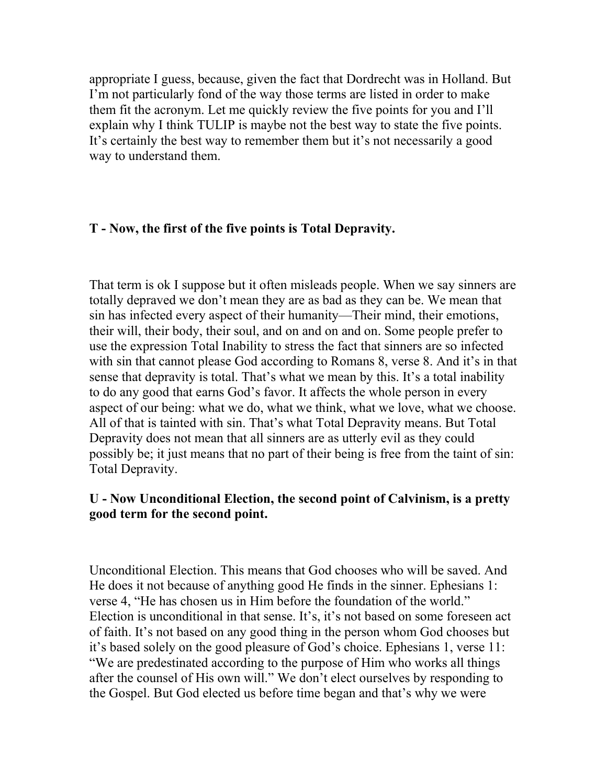appropriate I guess, because, given the fact that Dordrecht was in Holland. But I'm not particularly fond of the way those terms are listed in order to make them fit the acronym. Let me quickly review the five points for you and I'll explain why I think TULIP is maybe not the best way to state the five points. It's certainly the best way to remember them but it's not necessarily a good way to understand them.

#### T - Now, the first of the five points is Total Depravity.

That term is ok I suppose but it often misleads people. When we say sinners are totally depraved we don't mean they are as bad as they can be. We mean that sin has infected every aspect of their humanity—Their mind, their emotions, their will, their body, their soul, and on and on and on. Some people prefer to use the expression Total Inability to stress the fact that sinners are so infected with sin that cannot please God according to Romans 8, verse 8. And it's in that sense that depravity is total. That's what we mean by this. It's a total inability to do any good that earns God's favor. It affects the whole person in every aspect of our being: what we do, what we think, what we love, what we choose. All of that is tainted with sin. That's what Total Depravity means. But Total Depravity does not mean that all sinners are as utterly evil as they could possibly be; it just means that no part of their being is free from the taint of sin: Total Depravity.

#### U - Now Unconditional Election, the second point of Calvinism, is a pretty good term for the second point.

Unconditional Election. This means that God chooses who will be saved. And He does it not because of anything good He finds in the sinner. Ephesians 1: verse 4, "He has chosen us in Him before the foundation of the world." Election is unconditional in that sense. It's, it's not based on some foreseen act of faith. It's not based on any good thing in the person whom God chooses but it's based solely on the good pleasure of God's choice. Ephesians 1, verse 11: "We are predestinated according to the purpose of Him who works all things after the counsel of His own will." We don't elect ourselves by responding to the Gospel. But God elected us before time began and that's why we were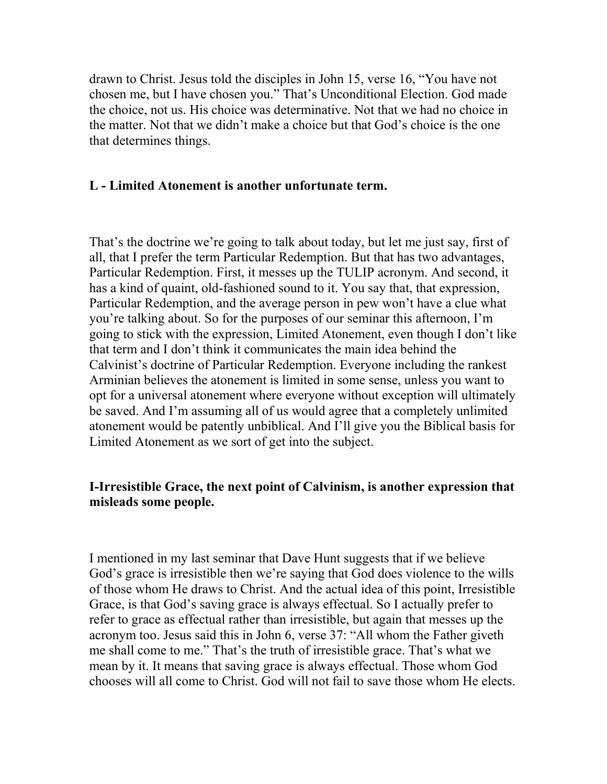drawn to Christ. Jesus told the disciples in John 15, verse 16, "You have not chosen me, but I have chosen you." That's Unconditional Election. God made the choice, not us. His choice was determinative. Not that we had no choice in the matter. Not that we didn't make a choice but that God's choice is the one that determines things.

#### L - Limited Atonement is another unfortunate term.

That's the doctrine we're going to talk about today, but let me just say, first of all, that I prefer the term Particular Redemption. But that has two advantages, Particular Redemption. First, it messes up the TULIP acronym. And second, it has a kind of quaint, old-fashioned sound to it. You say that, that expression, Particular Redemption, and the average person in pew won't have a clue what you're talking about. So for the purposes of our seminar this afternoon, I'm going to stick with the expression, Limited Atonement, even though I don't like that term and I don't think it communicates the main idea behind the Calvinist's doctrine of Particular Redemption. Everyone including the rankest Arminian believes the atonement is limited in some sense, unless you want to opt for a universal atonement where everyone without exception will ultimately be saved. And I'm assuming all of us would agree that a completely unlimited atonement would be patently unbiblical. And I'll give you the Biblical basis for Limited Atonement as we sort of get into the subject.

#### I-Irresistible Grace, the next point of Calvinism, is another expression that misleads some people.

I mentioned in my last seminar that Dave Hunt suggests that if we believe God's grace is irresistible then we're saying that God does violence to the wills of those whom He draws to Christ. And the actual idea of this point, Irresistible Grace, is that God's saving grace is always effectual. So I actually prefer to refer to grace as effectual rather than irresistible, but again that messes up the acronym too. Jesus said this in John 6, verse 37: "All whom the Father giveth me shall come to me." That's the truth of irresistible grace. That's what we mean by it. It means that saving grace is always effectual. Those whom God chooses will all come to Christ. God will not fail to save those whom He elects.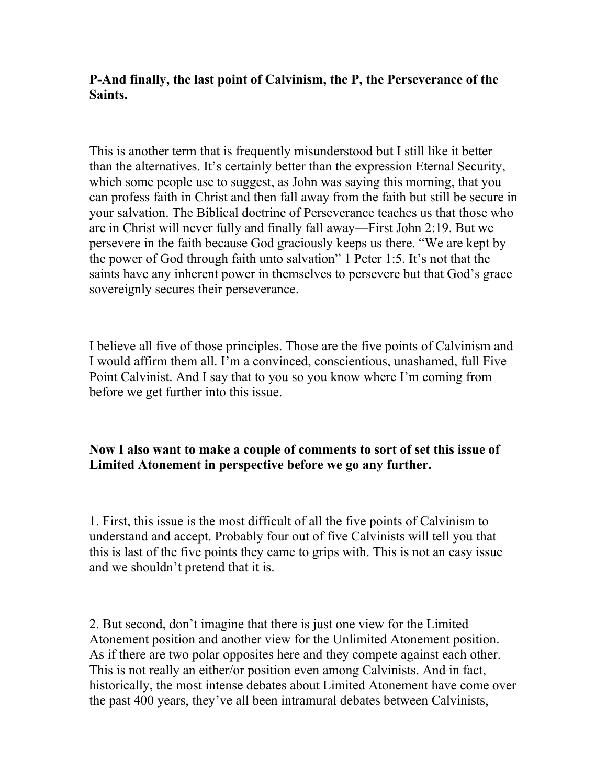#### P-And finally, the last point of Calvinism, the P, the Perseverance of the Saints.

This is another term that is frequently misunderstood but I still like it better than the alternatives. It's certainly better than the expression Eternal Security, which some people use to suggest, as John was saying this morning, that you can profess faith in Christ and then fall away from the faith but still be secure in your salvation. The Biblical doctrine of Perseverance teaches us that those who are in Christ will never fully and finally fall away—First John 2:19. But we persevere in the faith because God graciously keeps us there. "We are kept by the power of God through faith unto salvation" 1 Peter 1:5. It's not that the saints have any inherent power in themselves to persevere but that God's grace sovereignly secures their perseverance.

I believe all five of those principles. Those are the five points of Calvinism and I would affirm them all. I'm a convinced, conscientious, unashamed, full Five Point Calvinist. And I say that to you so you know where I'm coming from before we get further into this issue.

### Now I also want to make a couple of comments to sort of set this issue of Limited Atonement in perspective before we go any further.

1. First, this issue is the most difficult of all the five points of Calvinism to understand and accept. Probably four out of five Calvinists will tell you that this is last of the five points they came to grips with. This is not an easy issue and we shouldn't pretend that it is.

2. But second, don't imagine that there is just one view for the Limited Atonement position and another view for the Unlimited Atonement position. As if there are two polar opposites here and they compete against each other. This is not really an either/or position even among Calvinists. And in fact, historically, the most intense debates about Limited Atonement have come over the past 400 years, they've all been intramural debates between Calvinists,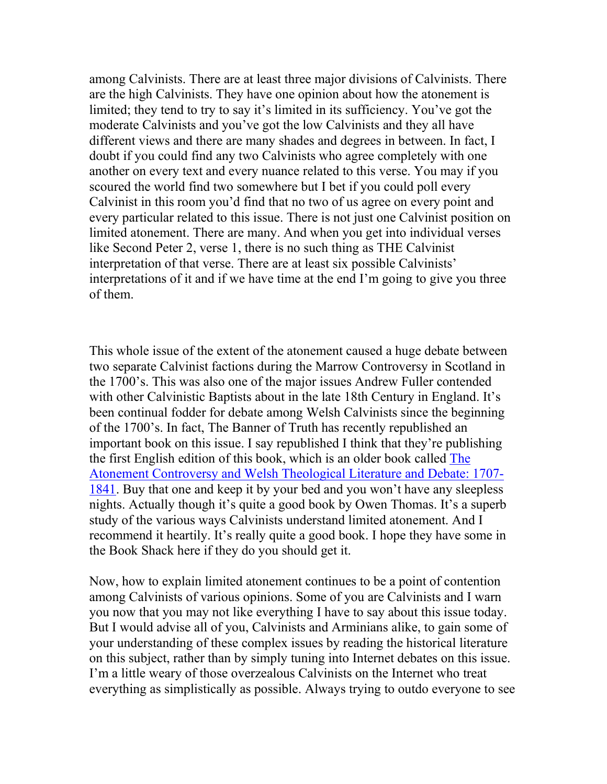among Calvinists. There are at least three major divisions of Calvinists. There are the high Calvinists. They have one opinion about how the atonement is limited; they tend to try to say it's limited in its sufficiency. You've got the moderate Calvinists and you've got the low Calvinists and they all have different views and there are many shades and degrees in between. In fact, I doubt if you could find any two Calvinists who agree completely with one another on every text and every nuance related to this verse. You may if you scoured the world find two somewhere but I bet if you could poll every Calvinist in this room you'd find that no two of us agree on every point and every particular related to this issue. There is not just one Calvinist position on limited atonement. There are many. And when you get into individual verses like Second Peter 2, verse 1, there is no such thing as THE Calvinist interpretation of that verse. There are at least six possible Calvinists' interpretations of it and if we have time at the end I'm going to give you three of them.

This whole issue of the extent of the atonement caused a huge debate between two separate Calvinist factions during the Marrow Controversy in Scotland in the 1700's. This was also one of the major issues Andrew Fuller contended with other Calvinistic Baptists about in the late 18th Century in England. It's been continual fodder for debate among Welsh Calvinists since the beginning of the 1700's. In fact, The Banner of Truth has recently republished an important book on this issue. I say republished I think that they're publishing the first English edition of this book, which is an older book called The Atonement Controversy and Welsh Theological Literature and Debate: 1707- 1841. Buy that one and keep it by your bed and you won't have any sleepless nights. Actually though it's quite a good book by Owen Thomas. It's a superb study of the various ways Calvinists understand limited atonement. And I recommend it heartily. It's really quite a good book. I hope they have some in the Book Shack here if they do you should get it.

Now, how to explain limited atonement continues to be a point of contention among Calvinists of various opinions. Some of you are Calvinists and I warn you now that you may not like everything I have to say about this issue today. But I would advise all of you, Calvinists and Arminians alike, to gain some of your understanding of these complex issues by reading the historical literature on this subject, rather than by simply tuning into Internet debates on this issue. I'm a little weary of those overzealous Calvinists on the Internet who treat everything as simplistically as possible. Always trying to outdo everyone to see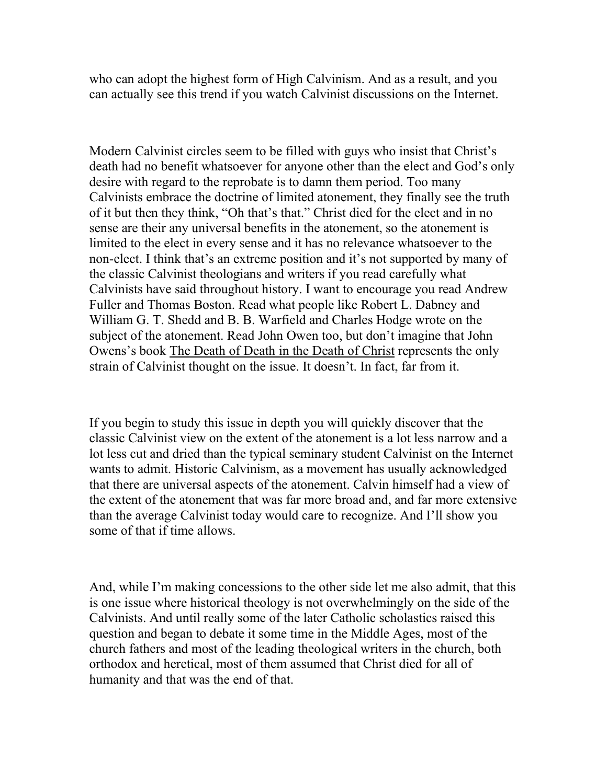who can adopt the highest form of High Calvinism. And as a result, and you can actually see this trend if you watch Calvinist discussions on the Internet.

Modern Calvinist circles seem to be filled with guys who insist that Christ's death had no benefit whatsoever for anyone other than the elect and God's only desire with regard to the reprobate is to damn them period. Too many Calvinists embrace the doctrine of limited atonement, they finally see the truth of it but then they think, "Oh that's that." Christ died for the elect and in no sense are their any universal benefits in the atonement, so the atonement is limited to the elect in every sense and it has no relevance whatsoever to the non-elect. I think that's an extreme position and it's not supported by many of the classic Calvinist theologians and writers if you read carefully what Calvinists have said throughout history. I want to encourage you read Andrew Fuller and Thomas Boston. Read what people like Robert L. Dabney and William G. T. Shedd and B. B. Warfield and Charles Hodge wrote on the subject of the atonement. Read John Owen too, but don't imagine that John Owens's book The Death of Death in the Death of Christ represents the only strain of Calvinist thought on the issue. It doesn't. In fact, far from it.

If you begin to study this issue in depth you will quickly discover that the classic Calvinist view on the extent of the atonement is a lot less narrow and a lot less cut and dried than the typical seminary student Calvinist on the Internet wants to admit. Historic Calvinism, as a movement has usually acknowledged that there are universal aspects of the atonement. Calvin himself had a view of the extent of the atonement that was far more broad and, and far more extensive than the average Calvinist today would care to recognize. And I'll show you some of that if time allows.

And, while I'm making concessions to the other side let me also admit, that this is one issue where historical theology is not overwhelmingly on the side of the Calvinists. And until really some of the later Catholic scholastics raised this question and began to debate it some time in the Middle Ages, most of the church fathers and most of the leading theological writers in the church, both orthodox and heretical, most of them assumed that Christ died for all of humanity and that was the end of that.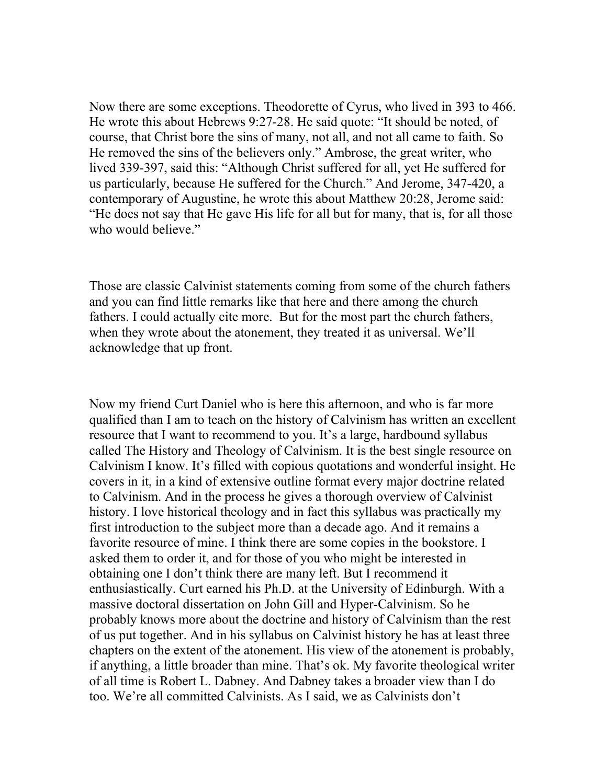Now there are some exceptions. Theodorette of Cyrus, who lived in 393 to 466. He wrote this about Hebrews 9:27-28. He said quote: "It should be noted, of course, that Christ bore the sins of many, not all, and not all came to faith. So He removed the sins of the believers only." Ambrose, the great writer, who lived 339-397, said this: "Although Christ suffered for all, yet He suffered for us particularly, because He suffered for the Church." And Jerome, 347-420, a contemporary of Augustine, he wrote this about Matthew 20:28, Jerome said: "He does not say that He gave His life for all but for many, that is, for all those who would believe."

Those are classic Calvinist statements coming from some of the church fathers and you can find little remarks like that here and there among the church fathers. I could actually cite more. But for the most part the church fathers, when they wrote about the atonement, they treated it as universal. We'll acknowledge that up front.

Now my friend Curt Daniel who is here this afternoon, and who is far more qualified than I am to teach on the history of Calvinism has written an excellent resource that I want to recommend to you. It's a large, hardbound syllabus called The History and Theology of Calvinism. It is the best single resource on Calvinism I know. It's filled with copious quotations and wonderful insight. He covers in it, in a kind of extensive outline format every major doctrine related to Calvinism. And in the process he gives a thorough overview of Calvinist history. I love historical theology and in fact this syllabus was practically my first introduction to the subject more than a decade ago. And it remains a favorite resource of mine. I think there are some copies in the bookstore. I asked them to order it, and for those of you who might be interested in obtaining one I don't think there are many left. But I recommend it enthusiastically. Curt earned his Ph.D. at the University of Edinburgh. With a massive doctoral dissertation on John Gill and Hyper-Calvinism. So he probably knows more about the doctrine and history of Calvinism than the rest of us put together. And in his syllabus on Calvinist history he has at least three chapters on the extent of the atonement. His view of the atonement is probably, if anything, a little broader than mine. That's ok. My favorite theological writer of all time is Robert L. Dabney. And Dabney takes a broader view than I do too. We're all committed Calvinists. As I said, we as Calvinists don't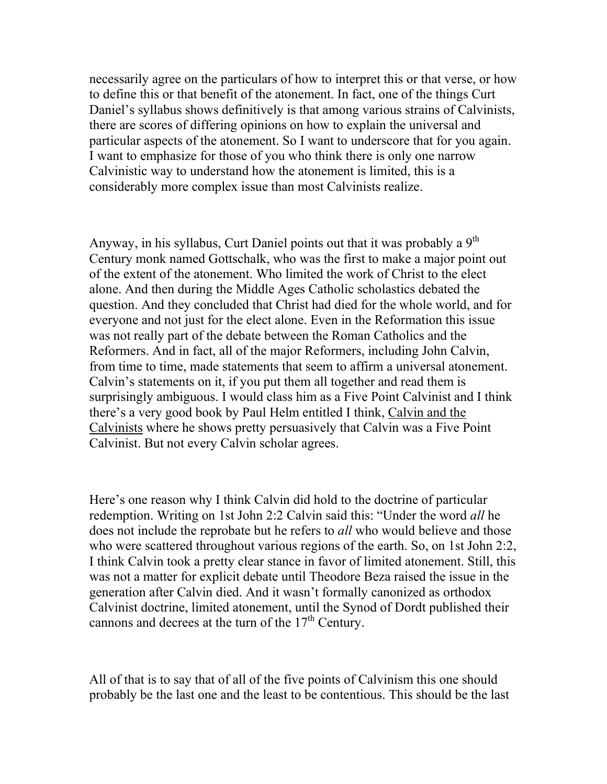necessarily agree on the particulars of how to interpret this or that verse, or how to define this or that benefit of the atonement. In fact, one of the things Curt Daniel's syllabus shows definitively is that among various strains of Calvinists, there are scores of differing opinions on how to explain the universal and particular aspects of the atonement. So I want to underscore that for you again. I want to emphasize for those of you who think there is only one narrow Calvinistic way to understand how the atonement is limited, this is a considerably more complex issue than most Calvinists realize.

Anyway, in his syllabus, Curt Daniel points out that it was probably a 9<sup>th</sup> Century monk named Gottschalk, who was the first to make a major point out of the extent of the atonement. Who limited the work of Christ to the elect alone. And then during the Middle Ages Catholic scholastics debated the question. And they concluded that Christ had died for the whole world, and for everyone and not just for the elect alone. Even in the Reformation this issue was not really part of the debate between the Roman Catholics and the Reformers. And in fact, all of the major Reformers, including John Calvin, from time to time, made statements that seem to affirm a universal atonement. Calvin's statements on it, if you put them all together and read them is surprisingly ambiguous. I would class him as a Five Point Calvinist and I think there's a very good book by Paul Helm entitled I think, Calvin and the Calvinists where he shows pretty persuasively that Calvin was a Five Point Calvinist. But not every Calvin scholar agrees.

Here's one reason why I think Calvin did hold to the doctrine of particular redemption. Writing on 1st John 2:2 Calvin said this: "Under the word *all* he does not include the reprobate but he refers to *all* who would believe and those who were scattered throughout various regions of the earth. So, on 1st John 2:2, I think Calvin took a pretty clear stance in favor of limited atonement. Still, this was not a matter for explicit debate until Theodore Beza raised the issue in the generation after Calvin died. And it wasn't formally canonized as orthodox Calvinist doctrine, limited atonement, until the Synod of Dordt published their cannons and decrees at the turn of the  $17<sup>th</sup>$  Century.

All of that is to say that of all of the five points of Calvinism this one should probably be the last one and the least to be contentious. This should be the last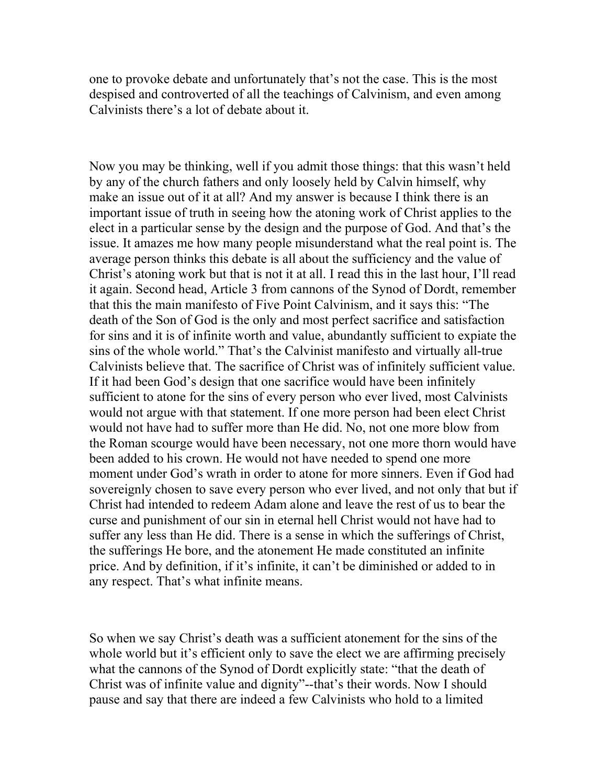one to provoke debate and unfortunately that's not the case. This is the most despised and controverted of all the teachings of Calvinism, and even among Calvinists there's a lot of debate about it.

Now you may be thinking, well if you admit those things: that this wasn't held by any of the church fathers and only loosely held by Calvin himself, why make an issue out of it at all? And my answer is because I think there is an important issue of truth in seeing how the atoning work of Christ applies to the elect in a particular sense by the design and the purpose of God. And that's the issue. It amazes me how many people misunderstand what the real point is. The average person thinks this debate is all about the sufficiency and the value of Christ's atoning work but that is not it at all. I read this in the last hour, I'll read it again. Second head, Article 3 from cannons of the Synod of Dordt, remember that this the main manifesto of Five Point Calvinism, and it says this: "The death of the Son of God is the only and most perfect sacrifice and satisfaction for sins and it is of infinite worth and value, abundantly sufficient to expiate the sins of the whole world." That's the Calvinist manifesto and virtually all-true Calvinists believe that. The sacrifice of Christ was of infinitely sufficient value. If it had been God's design that one sacrifice would have been infinitely sufficient to atone for the sins of every person who ever lived, most Calvinists would not argue with that statement. If one more person had been elect Christ would not have had to suffer more than He did. No, not one more blow from the Roman scourge would have been necessary, not one more thorn would have been added to his crown. He would not have needed to spend one more moment under God's wrath in order to atone for more sinners. Even if God had sovereignly chosen to save every person who ever lived, and not only that but if Christ had intended to redeem Adam alone and leave the rest of us to bear the curse and punishment of our sin in eternal hell Christ would not have had to suffer any less than He did. There is a sense in which the sufferings of Christ, the sufferings He bore, and the atonement He made constituted an infinite price. And by definition, if it's infinite, it can't be diminished or added to in any respect. That's what infinite means.

So when we say Christ's death was a sufficient atonement for the sins of the whole world but it's efficient only to save the elect we are affirming precisely what the cannons of the Synod of Dordt explicitly state: "that the death of Christ was of infinite value and dignity"--that's their words. Now I should pause and say that there are indeed a few Calvinists who hold to a limited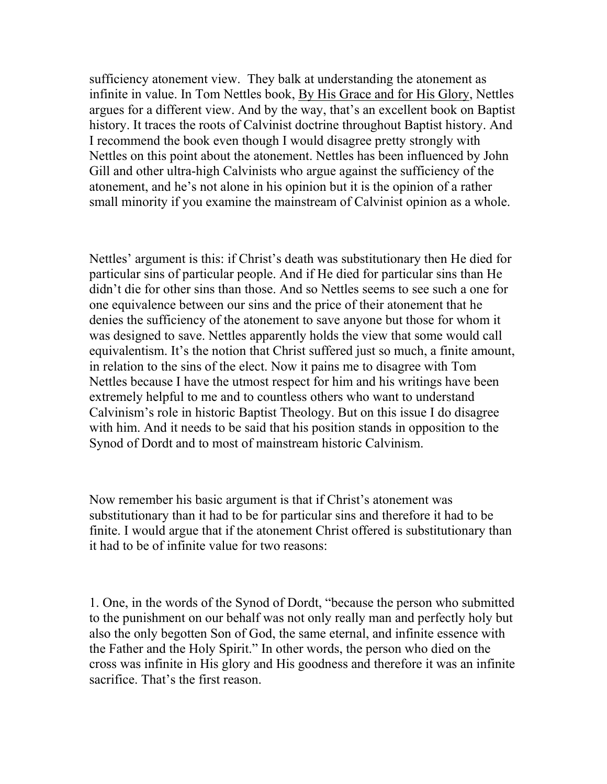sufficiency atonement view. They balk at understanding the atonement as infinite in value. In Tom Nettles book, By His Grace and for His Glory, Nettles argues for a different view. And by the way, that's an excellent book on Baptist history. It traces the roots of Calvinist doctrine throughout Baptist history. And I recommend the book even though I would disagree pretty strongly with Nettles on this point about the atonement. Nettles has been influenced by John Gill and other ultra-high Calvinists who argue against the sufficiency of the atonement, and he's not alone in his opinion but it is the opinion of a rather small minority if you examine the mainstream of Calvinist opinion as a whole.

Nettles' argument is this: if Christ's death was substitutionary then He died for particular sins of particular people. And if He died for particular sins than He didn't die for other sins than those. And so Nettles seems to see such a one for one equivalence between our sins and the price of their atonement that he denies the sufficiency of the atonement to save anyone but those for whom it was designed to save. Nettles apparently holds the view that some would call equivalentism. It's the notion that Christ suffered just so much, a finite amount, in relation to the sins of the elect. Now it pains me to disagree with Tom Nettles because I have the utmost respect for him and his writings have been extremely helpful to me and to countless others who want to understand Calvinism's role in historic Baptist Theology. But on this issue I do disagree with him. And it needs to be said that his position stands in opposition to the Synod of Dordt and to most of mainstream historic Calvinism.

Now remember his basic argument is that if Christ's atonement was substitutionary than it had to be for particular sins and therefore it had to be finite. I would argue that if the atonement Christ offered is substitutionary than it had to be of infinite value for two reasons:

1. One, in the words of the Synod of Dordt, "because the person who submitted to the punishment on our behalf was not only really man and perfectly holy but also the only begotten Son of God, the same eternal, and infinite essence with the Father and the Holy Spirit." In other words, the person who died on the cross was infinite in His glory and His goodness and therefore it was an infinite sacrifice. That's the first reason.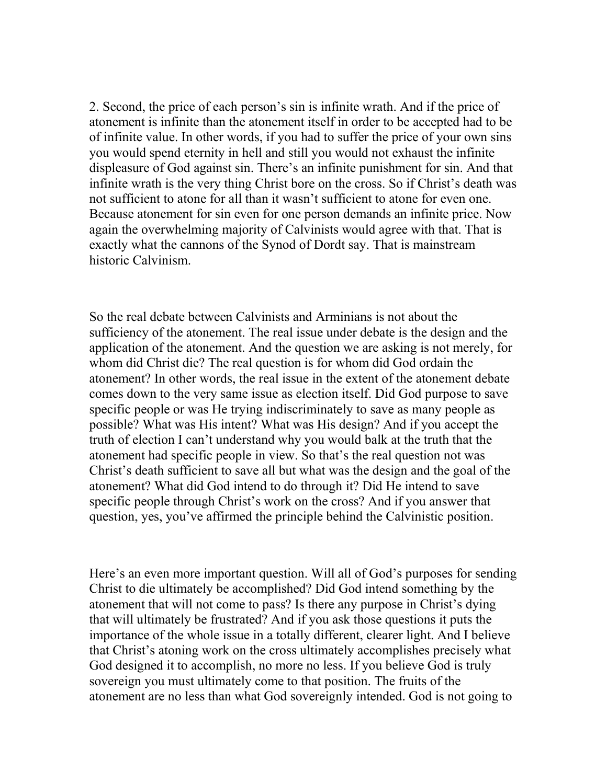2. Second, the price of each person's sin is infinite wrath. And if the price of atonement is infinite than the atonement itself in order to be accepted had to be of infinite value. In other words, if you had to suffer the price of your own sins you would spend eternity in hell and still you would not exhaust the infinite displeasure of God against sin. There's an infinite punishment for sin. And that infinite wrath is the very thing Christ bore on the cross. So if Christ's death was not sufficient to atone for all than it wasn't sufficient to atone for even one. Because atonement for sin even for one person demands an infinite price. Now again the overwhelming majority of Calvinists would agree with that. That is exactly what the cannons of the Synod of Dordt say. That is mainstream historic Calvinism.

So the real debate between Calvinists and Arminians is not about the sufficiency of the atonement. The real issue under debate is the design and the application of the atonement. And the question we are asking is not merely, for whom did Christ die? The real question is for whom did God ordain the atonement? In other words, the real issue in the extent of the atonement debate comes down to the very same issue as election itself. Did God purpose to save specific people or was He trying indiscriminately to save as many people as possible? What was His intent? What was His design? And if you accept the truth of election I can't understand why you would balk at the truth that the atonement had specific people in view. So that's the real question not was Christ's death sufficient to save all but what was the design and the goal of the atonement? What did God intend to do through it? Did He intend to save specific people through Christ's work on the cross? And if you answer that question, yes, you've affirmed the principle behind the Calvinistic position.

Here's an even more important question. Will all of God's purposes for sending Christ to die ultimately be accomplished? Did God intend something by the atonement that will not come to pass? Is there any purpose in Christ's dying that will ultimately be frustrated? And if you ask those questions it puts the importance of the whole issue in a totally different, clearer light. And I believe that Christ's atoning work on the cross ultimately accomplishes precisely what God designed it to accomplish, no more no less. If you believe God is truly sovereign you must ultimately come to that position. The fruits of the atonement are no less than what God sovereignly intended. God is not going to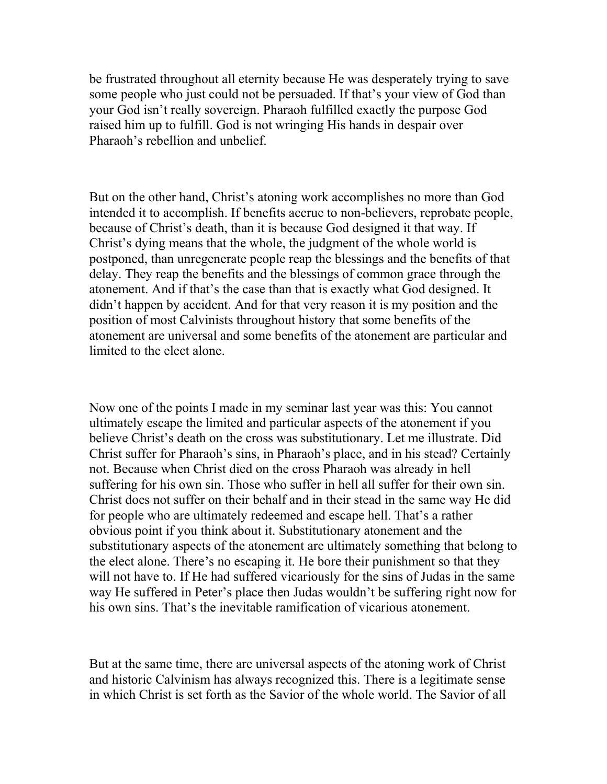be frustrated throughout all eternity because He was desperately trying to save some people who just could not be persuaded. If that's your view of God than your God isn't really sovereign. Pharaoh fulfilled exactly the purpose God raised him up to fulfill. God is not wringing His hands in despair over Pharaoh's rebellion and unbelief.

But on the other hand, Christ's atoning work accomplishes no more than God intended it to accomplish. If benefits accrue to non-believers, reprobate people, because of Christ's death, than it is because God designed it that way. If Christ's dying means that the whole, the judgment of the whole world is postponed, than unregenerate people reap the blessings and the benefits of that delay. They reap the benefits and the blessings of common grace through the atonement. And if that's the case than that is exactly what God designed. It didn't happen by accident. And for that very reason it is my position and the position of most Calvinists throughout history that some benefits of the atonement are universal and some benefits of the atonement are particular and limited to the elect alone.

Now one of the points I made in my seminar last year was this: You cannot ultimately escape the limited and particular aspects of the atonement if you believe Christ's death on the cross was substitutionary. Let me illustrate. Did Christ suffer for Pharaoh's sins, in Pharaoh's place, and in his stead? Certainly not. Because when Christ died on the cross Pharaoh was already in hell suffering for his own sin. Those who suffer in hell all suffer for their own sin. Christ does not suffer on their behalf and in their stead in the same way He did for people who are ultimately redeemed and escape hell. That's a rather obvious point if you think about it. Substitutionary atonement and the substitutionary aspects of the atonement are ultimately something that belong to the elect alone. There's no escaping it. He bore their punishment so that they will not have to. If He had suffered vicariously for the sins of Judas in the same way He suffered in Peter's place then Judas wouldn't be suffering right now for his own sins. That's the inevitable ramification of vicarious atonement.

But at the same time, there are universal aspects of the atoning work of Christ and historic Calvinism has always recognized this. There is a legitimate sense in which Christ is set forth as the Savior of the whole world. The Savior of all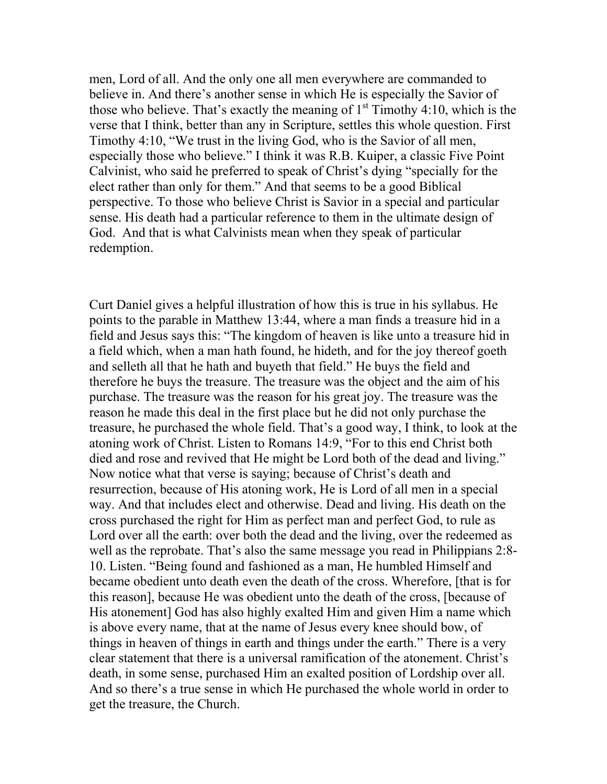men, Lord of all. And the only one all men everywhere are commanded to believe in. And there's another sense in which He is especially the Savior of those who believe. That's exactly the meaning of  $1<sup>st</sup>$  Timothy 4:10, which is the verse that I think, better than any in Scripture, settles this whole question. First Timothy 4:10, "We trust in the living God, who is the Savior of all men, especially those who believe." I think it was R.B. Kuiper, a classic Five Point Calvinist, who said he preferred to speak of Christ's dying "specially for the elect rather than only for them." And that seems to be a good Biblical perspective. To those who believe Christ is Savior in a special and particular sense. His death had a particular reference to them in the ultimate design of God. And that is what Calvinists mean when they speak of particular redemption.

Curt Daniel gives a helpful illustration of how this is true in his syllabus. He points to the parable in Matthew 13:44, where a man finds a treasure hid in a field and Jesus says this: "The kingdom of heaven is like unto a treasure hid in a field which, when a man hath found, he hideth, and for the joy thereof goeth and selleth all that he hath and buyeth that field." He buys the field and therefore he buys the treasure. The treasure was the object and the aim of his purchase. The treasure was the reason for his great joy. The treasure was the reason he made this deal in the first place but he did not only purchase the treasure, he purchased the whole field. That's a good way, I think, to look at the atoning work of Christ. Listen to Romans 14:9, "For to this end Christ both died and rose and revived that He might be Lord both of the dead and living." Now notice what that verse is saying; because of Christ's death and resurrection, because of His atoning work, He is Lord of all men in a special way. And that includes elect and otherwise. Dead and living. His death on the cross purchased the right for Him as perfect man and perfect God, to rule as Lord over all the earth: over both the dead and the living, over the redeemed as well as the reprobate. That's also the same message you read in Philippians 2:8- 10. Listen. "Being found and fashioned as a man, He humbled Himself and became obedient unto death even the death of the cross. Wherefore, [that is for this reason], because He was obedient unto the death of the cross, [because of His atonement] God has also highly exalted Him and given Him a name which is above every name, that at the name of Jesus every knee should bow, of things in heaven of things in earth and things under the earth." There is a very clear statement that there is a universal ramification of the atonement. Christ's death, in some sense, purchased Him an exalted position of Lordship over all. And so there's a true sense in which He purchased the whole world in order to get the treasure, the Church.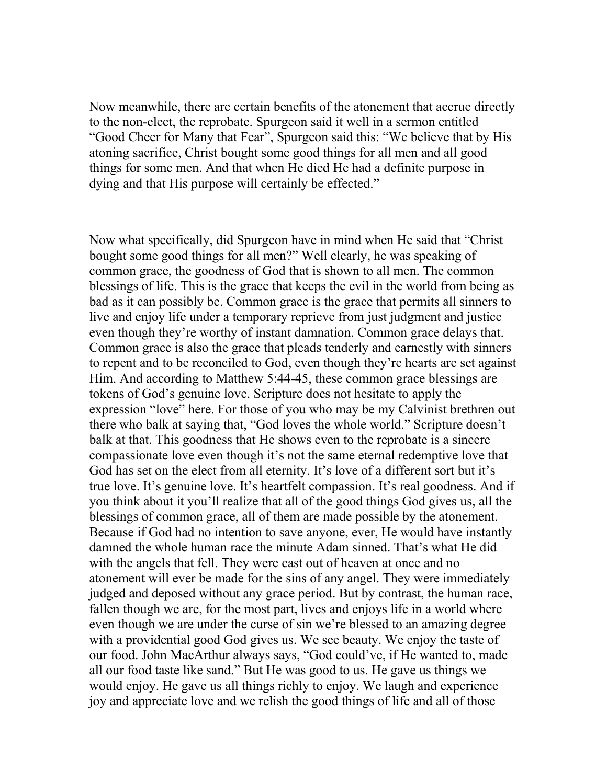Now meanwhile, there are certain benefits of the atonement that accrue directly to the non-elect, the reprobate. Spurgeon said it well in a sermon entitled "Good Cheer for Many that Fear", Spurgeon said this: "We believe that by His atoning sacrifice, Christ bought some good things for all men and all good things for some men. And that when He died He had a definite purpose in dying and that His purpose will certainly be effected."

Now what specifically, did Spurgeon have in mind when He said that "Christ bought some good things for all men?" Well clearly, he was speaking of common grace, the goodness of God that is shown to all men. The common blessings of life. This is the grace that keeps the evil in the world from being as bad as it can possibly be. Common grace is the grace that permits all sinners to live and enjoy life under a temporary reprieve from just judgment and justice even though they're worthy of instant damnation. Common grace delays that. Common grace is also the grace that pleads tenderly and earnestly with sinners to repent and to be reconciled to God, even though they're hearts are set against Him. And according to Matthew 5:44-45, these common grace blessings are tokens of God's genuine love. Scripture does not hesitate to apply the expression "love" here. For those of you who may be my Calvinist brethren out there who balk at saying that, "God loves the whole world." Scripture doesn't balk at that. This goodness that He shows even to the reprobate is a sincere compassionate love even though it's not the same eternal redemptive love that God has set on the elect from all eternity. It's love of a different sort but it's true love. It's genuine love. It's heartfelt compassion. It's real goodness. And if you think about it you'll realize that all of the good things God gives us, all the blessings of common grace, all of them are made possible by the atonement. Because if God had no intention to save anyone, ever, He would have instantly damned the whole human race the minute Adam sinned. That's what He did with the angels that fell. They were cast out of heaven at once and no atonement will ever be made for the sins of any angel. They were immediately judged and deposed without any grace period. But by contrast, the human race, fallen though we are, for the most part, lives and enjoys life in a world where even though we are under the curse of sin we're blessed to an amazing degree with a providential good God gives us. We see beauty. We enjoy the taste of our food. John MacArthur always says, "God could've, if He wanted to, made all our food taste like sand." But He was good to us. He gave us things we would enjoy. He gave us all things richly to enjoy. We laugh and experience joy and appreciate love and we relish the good things of life and all of those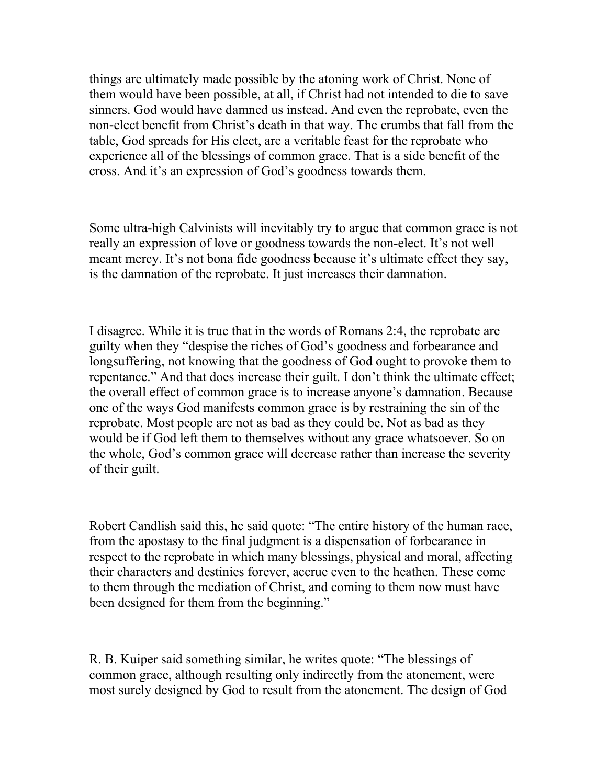things are ultimately made possible by the atoning work of Christ. None of them would have been possible, at all, if Christ had not intended to die to save sinners. God would have damned us instead. And even the reprobate, even the non-elect benefit from Christ's death in that way. The crumbs that fall from the table, God spreads for His elect, are a veritable feast for the reprobate who experience all of the blessings of common grace. That is a side benefit of the cross. And it's an expression of God's goodness towards them.

Some ultra-high Calvinists will inevitably try to argue that common grace is not really an expression of love or goodness towards the non-elect. It's not well meant mercy. It's not bona fide goodness because it's ultimate effect they say, is the damnation of the reprobate. It just increases their damnation.

I disagree. While it is true that in the words of Romans 2:4, the reprobate are guilty when they "despise the riches of God's goodness and forbearance and longsuffering, not knowing that the goodness of God ought to provoke them to repentance." And that does increase their guilt. I don't think the ultimate effect; the overall effect of common grace is to increase anyone's damnation. Because one of the ways God manifests common grace is by restraining the sin of the reprobate. Most people are not as bad as they could be. Not as bad as they would be if God left them to themselves without any grace whatsoever. So on the whole, God's common grace will decrease rather than increase the severity of their guilt.

Robert Candlish said this, he said quote: "The entire history of the human race, from the apostasy to the final judgment is a dispensation of forbearance in respect to the reprobate in which many blessings, physical and moral, affecting their characters and destinies forever, accrue even to the heathen. These come to them through the mediation of Christ, and coming to them now must have been designed for them from the beginning."

R. B. Kuiper said something similar, he writes quote: "The blessings of common grace, although resulting only indirectly from the atonement, were most surely designed by God to result from the atonement. The design of God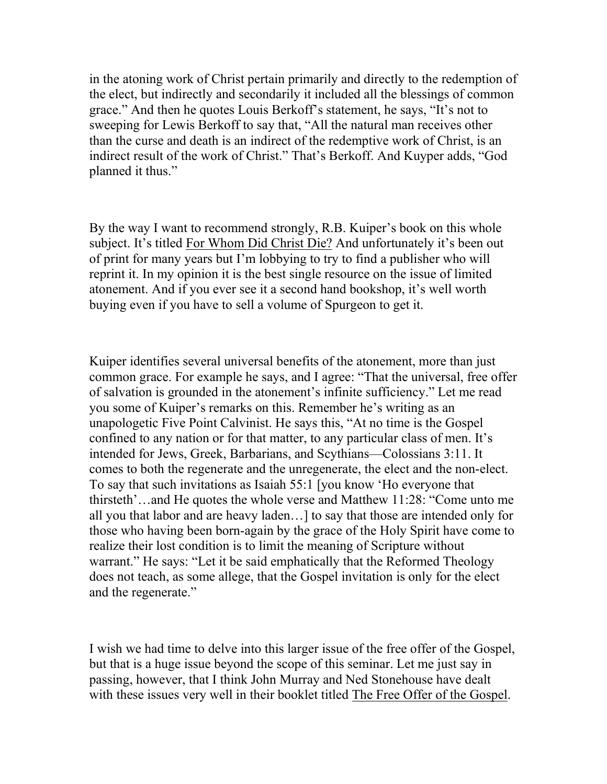in the atoning work of Christ pertain primarily and directly to the redemption of the elect, but indirectly and secondarily it included all the blessings of common grace." And then he quotes Louis Berkoff's statement, he says, "It's not to sweeping for Lewis Berkoff to say that, "All the natural man receives other than the curse and death is an indirect of the redemptive work of Christ, is an indirect result of the work of Christ." That's Berkoff. And Kuyper adds, "God planned it thus."

By the way I want to recommend strongly, R.B. Kuiper's book on this whole subject. It's titled For Whom Did Christ Die? And unfortunately it's been out of print for many years but I'm lobbying to try to find a publisher who will reprint it. In my opinion it is the best single resource on the issue of limited atonement. And if you ever see it a second hand bookshop, it's well worth buying even if you have to sell a volume of Spurgeon to get it.

Kuiper identifies several universal benefits of the atonement, more than just common grace. For example he says, and I agree: "That the universal, free offer of salvation is grounded in the atonement's infinite sufficiency." Let me read you some of Kuiper's remarks on this. Remember he's writing as an unapologetic Five Point Calvinist. He says this, "At no time is the Gospel confined to any nation or for that matter, to any particular class of men. It's intended for Jews, Greek, Barbarians, and Scythians—Colossians 3:11. It comes to both the regenerate and the unregenerate, the elect and the non-elect. To say that such invitations as Isaiah 55:1 [you know 'Ho everyone that thirsteth'…and He quotes the whole verse and Matthew 11:28: "Come unto me all you that labor and are heavy laden…] to say that those are intended only for those who having been born-again by the grace of the Holy Spirit have come to realize their lost condition is to limit the meaning of Scripture without warrant." He says: "Let it be said emphatically that the Reformed Theology does not teach, as some allege, that the Gospel invitation is only for the elect and the regenerate."

I wish we had time to delve into this larger issue of the free offer of the Gospel, but that is a huge issue beyond the scope of this seminar. Let me just say in passing, however, that I think John Murray and Ned Stonehouse have dealt with these issues very well in their booklet titled The Free Offer of the Gospel.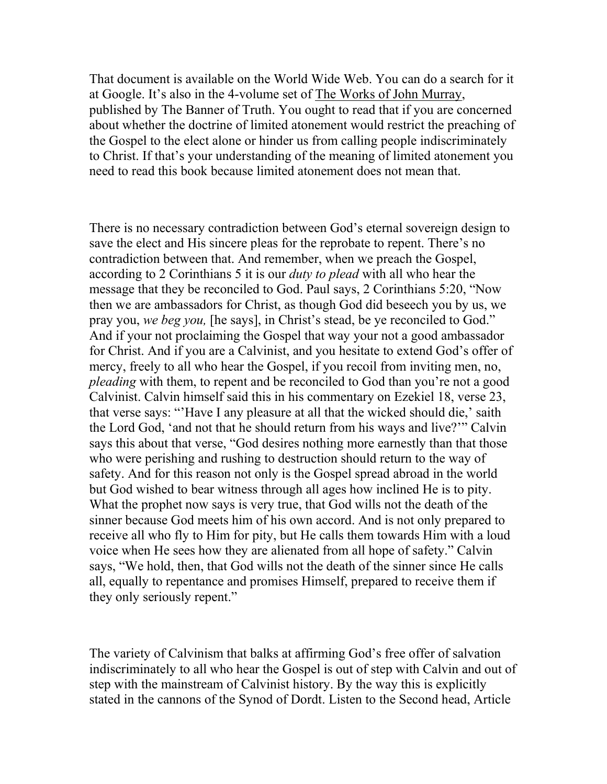That document is available on the World Wide Web. You can do a search for it at Google. It's also in the 4-volume set of The Works of John Murray, published by The Banner of Truth. You ought to read that if you are concerned about whether the doctrine of limited atonement would restrict the preaching of the Gospel to the elect alone or hinder us from calling people indiscriminately to Christ. If that's your understanding of the meaning of limited atonement you need to read this book because limited atonement does not mean that.

There is no necessary contradiction between God's eternal sovereign design to save the elect and His sincere pleas for the reprobate to repent. There's no contradiction between that. And remember, when we preach the Gospel, according to 2 Corinthians 5 it is our *duty to plead* with all who hear the message that they be reconciled to God. Paul says, 2 Corinthians 5:20, "Now then we are ambassadors for Christ, as though God did beseech you by us, we pray you, we beg you, [he says], in Christ's stead, be ye reconciled to God." And if your not proclaiming the Gospel that way your not a good ambassador for Christ. And if you are a Calvinist, and you hesitate to extend God's offer of mercy, freely to all who hear the Gospel, if you recoil from inviting men, no, pleading with them, to repent and be reconciled to God than you're not a good Calvinist. Calvin himself said this in his commentary on Ezekiel 18, verse 23, that verse says: "'Have I any pleasure at all that the wicked should die,' saith the Lord God, 'and not that he should return from his ways and live?'" Calvin says this about that verse, "God desires nothing more earnestly than that those who were perishing and rushing to destruction should return to the way of safety. And for this reason not only is the Gospel spread abroad in the world but God wished to bear witness through all ages how inclined He is to pity. What the prophet now says is very true, that God wills not the death of the sinner because God meets him of his own accord. And is not only prepared to receive all who fly to Him for pity, but He calls them towards Him with a loud voice when He sees how they are alienated from all hope of safety." Calvin says, "We hold, then, that God wills not the death of the sinner since He calls all, equally to repentance and promises Himself, prepared to receive them if they only seriously repent."

The variety of Calvinism that balks at affirming God's free offer of salvation indiscriminately to all who hear the Gospel is out of step with Calvin and out of step with the mainstream of Calvinist history. By the way this is explicitly stated in the cannons of the Synod of Dordt. Listen to the Second head, Article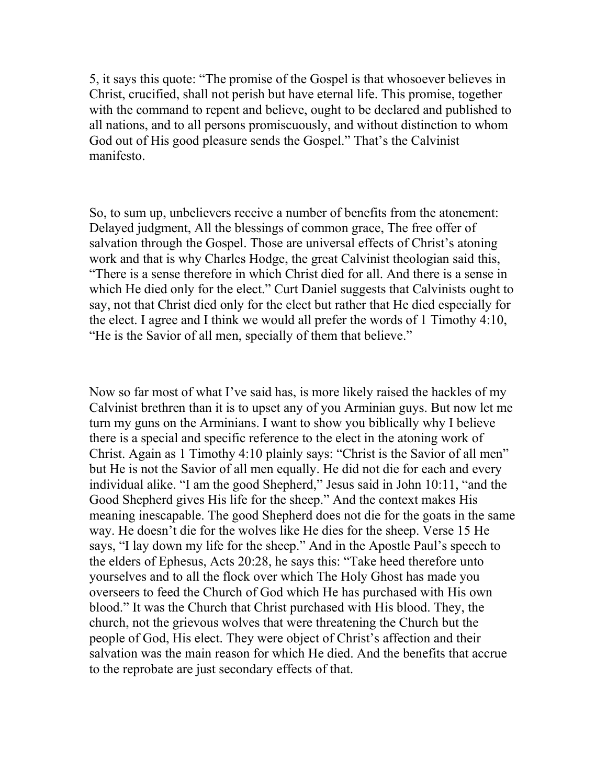5, it says this quote: "The promise of the Gospel is that whosoever believes in Christ, crucified, shall not perish but have eternal life. This promise, together with the command to repent and believe, ought to be declared and published to all nations, and to all persons promiscuously, and without distinction to whom God out of His good pleasure sends the Gospel." That's the Calvinist manifesto.

So, to sum up, unbelievers receive a number of benefits from the atonement: Delayed judgment, All the blessings of common grace, The free offer of salvation through the Gospel. Those are universal effects of Christ's atoning work and that is why Charles Hodge, the great Calvinist theologian said this, "There is a sense therefore in which Christ died for all. And there is a sense in which He died only for the elect." Curt Daniel suggests that Calvinists ought to say, not that Christ died only for the elect but rather that He died especially for the elect. I agree and I think we would all prefer the words of 1 Timothy 4:10, "He is the Savior of all men, specially of them that believe."

Now so far most of what I've said has, is more likely raised the hackles of my Calvinist brethren than it is to upset any of you Arminian guys. But now let me turn my guns on the Arminians. I want to show you biblically why I believe there is a special and specific reference to the elect in the atoning work of Christ. Again as 1 Timothy 4:10 plainly says: "Christ is the Savior of all men" but He is not the Savior of all men equally. He did not die for each and every individual alike. "I am the good Shepherd," Jesus said in John 10:11, "and the Good Shepherd gives His life for the sheep." And the context makes His meaning inescapable. The good Shepherd does not die for the goats in the same way. He doesn't die for the wolves like He dies for the sheep. Verse 15 He says, "I lay down my life for the sheep." And in the Apostle Paul's speech to the elders of Ephesus, Acts 20:28, he says this: "Take heed therefore unto yourselves and to all the flock over which The Holy Ghost has made you overseers to feed the Church of God which He has purchased with His own blood." It was the Church that Christ purchased with His blood. They, the church, not the grievous wolves that were threatening the Church but the people of God, His elect. They were object of Christ's affection and their salvation was the main reason for which He died. And the benefits that accrue to the reprobate are just secondary effects of that.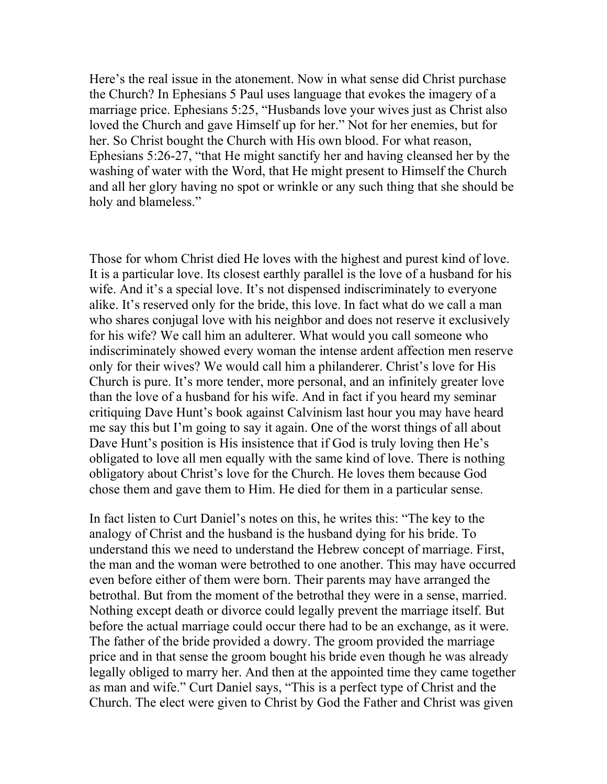Here's the real issue in the atonement. Now in what sense did Christ purchase the Church? In Ephesians 5 Paul uses language that evokes the imagery of a marriage price. Ephesians 5:25, "Husbands love your wives just as Christ also loved the Church and gave Himself up for her." Not for her enemies, but for her. So Christ bought the Church with His own blood. For what reason, Ephesians 5:26-27, "that He might sanctify her and having cleansed her by the washing of water with the Word, that He might present to Himself the Church and all her glory having no spot or wrinkle or any such thing that she should be holy and blameless."

Those for whom Christ died He loves with the highest and purest kind of love. It is a particular love. Its closest earthly parallel is the love of a husband for his wife. And it's a special love. It's not dispensed indiscriminately to everyone alike. It's reserved only for the bride, this love. In fact what do we call a man who shares conjugal love with his neighbor and does not reserve it exclusively for his wife? We call him an adulterer. What would you call someone who indiscriminately showed every woman the intense ardent affection men reserve only for their wives? We would call him a philanderer. Christ's love for His Church is pure. It's more tender, more personal, and an infinitely greater love than the love of a husband for his wife. And in fact if you heard my seminar critiquing Dave Hunt's book against Calvinism last hour you may have heard me say this but I'm going to say it again. One of the worst things of all about Dave Hunt's position is His insistence that if God is truly loving then He's obligated to love all men equally with the same kind of love. There is nothing obligatory about Christ's love for the Church. He loves them because God chose them and gave them to Him. He died for them in a particular sense.

In fact listen to Curt Daniel's notes on this, he writes this: "The key to the analogy of Christ and the husband is the husband dying for his bride. To understand this we need to understand the Hebrew concept of marriage. First, the man and the woman were betrothed to one another. This may have occurred even before either of them were born. Their parents may have arranged the betrothal. But from the moment of the betrothal they were in a sense, married. Nothing except death or divorce could legally prevent the marriage itself. But before the actual marriage could occur there had to be an exchange, as it were. The father of the bride provided a dowry. The groom provided the marriage price and in that sense the groom bought his bride even though he was already legally obliged to marry her. And then at the appointed time they came together as man and wife." Curt Daniel says, "This is a perfect type of Christ and the Church. The elect were given to Christ by God the Father and Christ was given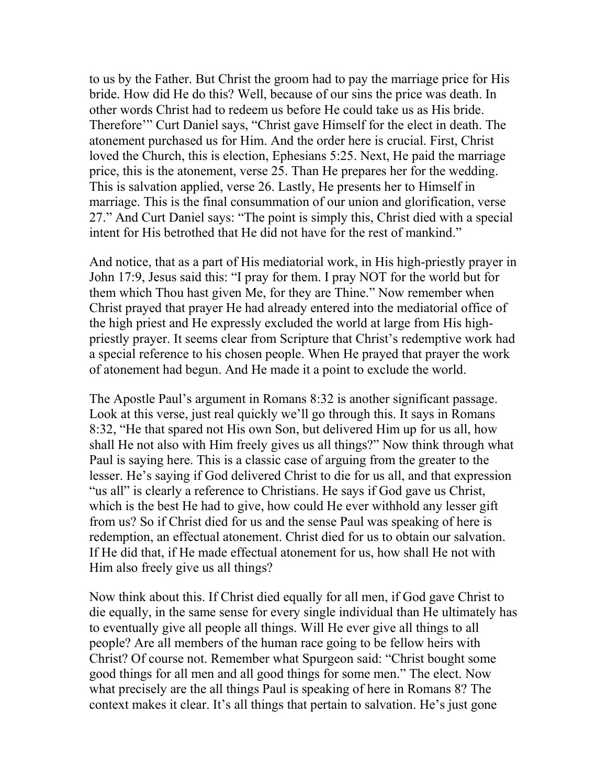to us by the Father. But Christ the groom had to pay the marriage price for His bride. How did He do this? Well, because of our sins the price was death. In other words Christ had to redeem us before He could take us as His bride. Therefore'" Curt Daniel says, "Christ gave Himself for the elect in death. The atonement purchased us for Him. And the order here is crucial. First, Christ loved the Church, this is election, Ephesians 5:25. Next, He paid the marriage price, this is the atonement, verse 25. Than He prepares her for the wedding. This is salvation applied, verse 26. Lastly, He presents her to Himself in marriage. This is the final consummation of our union and glorification, verse 27." And Curt Daniel says: "The point is simply this, Christ died with a special intent for His betrothed that He did not have for the rest of mankind."

And notice, that as a part of His mediatorial work, in His high-priestly prayer in John 17:9, Jesus said this: "I pray for them. I pray NOT for the world but for them which Thou hast given Me, for they are Thine." Now remember when Christ prayed that prayer He had already entered into the mediatorial office of the high priest and He expressly excluded the world at large from His highpriestly prayer. It seems clear from Scripture that Christ's redemptive work had a special reference to his chosen people. When He prayed that prayer the work of atonement had begun. And He made it a point to exclude the world.

The Apostle Paul's argument in Romans 8:32 is another significant passage. Look at this verse, just real quickly we'll go through this. It says in Romans 8:32, "He that spared not His own Son, but delivered Him up for us all, how shall He not also with Him freely gives us all things?" Now think through what Paul is saying here. This is a classic case of arguing from the greater to the lesser. He's saying if God delivered Christ to die for us all, and that expression "us all" is clearly a reference to Christians. He says if God gave us Christ, which is the best He had to give, how could He ever withhold any lesser gift from us? So if Christ died for us and the sense Paul was speaking of here is redemption, an effectual atonement. Christ died for us to obtain our salvation. If He did that, if He made effectual atonement for us, how shall He not with Him also freely give us all things?

Now think about this. If Christ died equally for all men, if God gave Christ to die equally, in the same sense for every single individual than He ultimately has to eventually give all people all things. Will He ever give all things to all people? Are all members of the human race going to be fellow heirs with Christ? Of course not. Remember what Spurgeon said: "Christ bought some good things for all men and all good things for some men." The elect. Now what precisely are the all things Paul is speaking of here in Romans 8? The context makes it clear. It's all things that pertain to salvation. He's just gone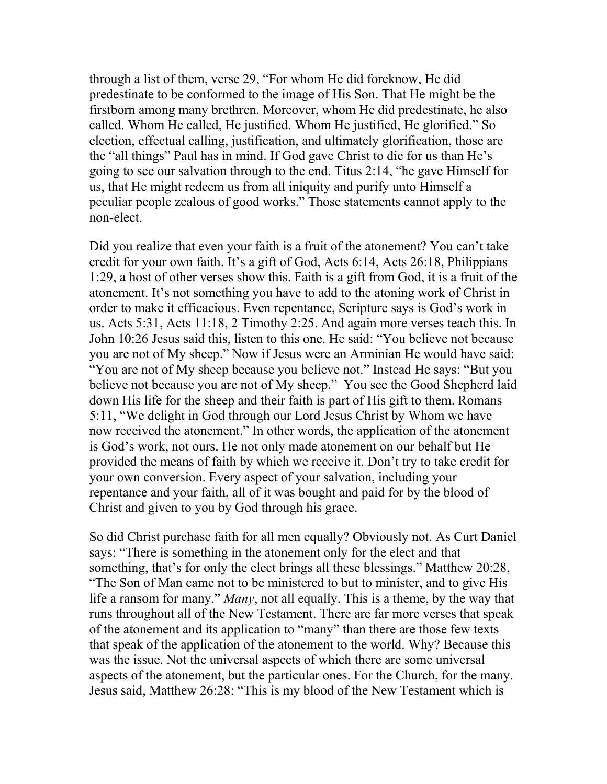through a list of them, verse 29, "For whom He did foreknow, He did predestinate to be conformed to the image of His Son. That He might be the firstborn among many brethren. Moreover, whom He did predestinate, he also called. Whom He called, He justified. Whom He justified, He glorified." So election, effectual calling, justification, and ultimately glorification, those are the "all things" Paul has in mind. If God gave Christ to die for us than He's going to see our salvation through to the end. Titus 2:14, "he gave Himself for us, that He might redeem us from all iniquity and purify unto Himself a peculiar people zealous of good works." Those statements cannot apply to the non-elect.

Did you realize that even your faith is a fruit of the atonement? You can't take credit for your own faith. It's a gift of God, Acts 6:14, Acts 26:18, Philippians 1:29, a host of other verses show this. Faith is a gift from God, it is a fruit of the atonement. It's not something you have to add to the atoning work of Christ in order to make it efficacious. Even repentance, Scripture says is God's work in us. Acts 5:31, Acts 11:18, 2 Timothy 2:25. And again more verses teach this. In John 10:26 Jesus said this, listen to this one. He said: "You believe not because you are not of My sheep." Now if Jesus were an Arminian He would have said: "You are not of My sheep because you believe not." Instead He says: "But you believe not because you are not of My sheep." You see the Good Shepherd laid down His life for the sheep and their faith is part of His gift to them. Romans 5:11, "We delight in God through our Lord Jesus Christ by Whom we have now received the atonement." In other words, the application of the atonement is God's work, not ours. He not only made atonement on our behalf but He provided the means of faith by which we receive it. Don't try to take credit for your own conversion. Every aspect of your salvation, including your repentance and your faith, all of it was bought and paid for by the blood of Christ and given to you by God through his grace.

So did Christ purchase faith for all men equally? Obviously not. As Curt Daniel says: "There is something in the atonement only for the elect and that something, that's for only the elect brings all these blessings." Matthew 20:28, "The Son of Man came not to be ministered to but to minister, and to give His life a ransom for many." Many, not all equally. This is a theme, by the way that runs throughout all of the New Testament. There are far more verses that speak of the atonement and its application to "many" than there are those few texts that speak of the application of the atonement to the world. Why? Because this was the issue. Not the universal aspects of which there are some universal aspects of the atonement, but the particular ones. For the Church, for the many. Jesus said, Matthew 26:28: "This is my blood of the New Testament which is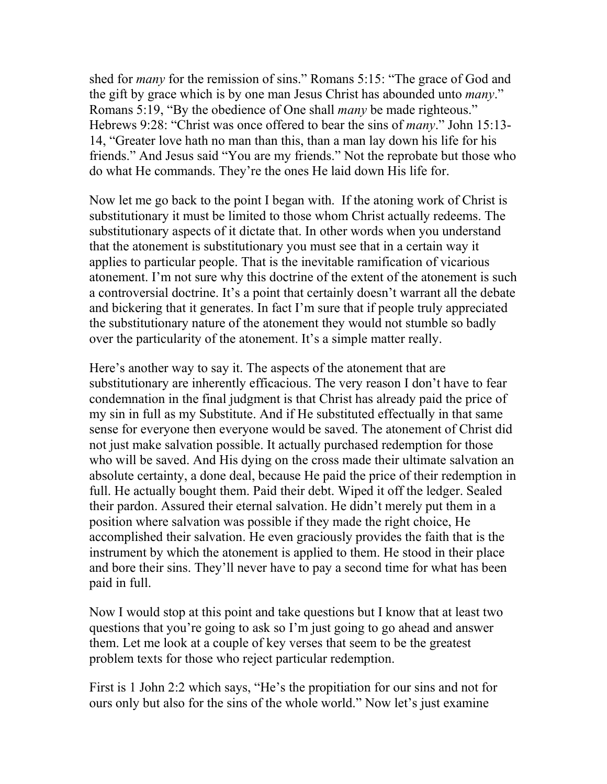shed for many for the remission of sins." Romans 5:15: "The grace of God and the gift by grace which is by one man Jesus Christ has abounded unto *many*." Romans 5:19, "By the obedience of One shall many be made righteous." Hebrews 9:28: "Christ was once offered to bear the sins of *many*." John 15:13-14, "Greater love hath no man than this, than a man lay down his life for his friends." And Jesus said "You are my friends." Not the reprobate but those who do what He commands. They're the ones He laid down His life for.

Now let me go back to the point I began with. If the atoning work of Christ is substitutionary it must be limited to those whom Christ actually redeems. The substitutionary aspects of it dictate that. In other words when you understand that the atonement is substitutionary you must see that in a certain way it applies to particular people. That is the inevitable ramification of vicarious atonement. I'm not sure why this doctrine of the extent of the atonement is such a controversial doctrine. It's a point that certainly doesn't warrant all the debate and bickering that it generates. In fact I'm sure that if people truly appreciated the substitutionary nature of the atonement they would not stumble so badly over the particularity of the atonement. It's a simple matter really.

Here's another way to say it. The aspects of the atonement that are substitutionary are inherently efficacious. The very reason I don't have to fear condemnation in the final judgment is that Christ has already paid the price of my sin in full as my Substitute. And if He substituted effectually in that same sense for everyone then everyone would be saved. The atonement of Christ did not just make salvation possible. It actually purchased redemption for those who will be saved. And His dying on the cross made their ultimate salvation an absolute certainty, a done deal, because He paid the price of their redemption in full. He actually bought them. Paid their debt. Wiped it off the ledger. Sealed their pardon. Assured their eternal salvation. He didn't merely put them in a position where salvation was possible if they made the right choice, He accomplished their salvation. He even graciously provides the faith that is the instrument by which the atonement is applied to them. He stood in their place and bore their sins. They'll never have to pay a second time for what has been paid in full.

Now I would stop at this point and take questions but I know that at least two questions that you're going to ask so I'm just going to go ahead and answer them. Let me look at a couple of key verses that seem to be the greatest problem texts for those who reject particular redemption.

First is 1 John 2:2 which says, "He's the propitiation for our sins and not for ours only but also for the sins of the whole world." Now let's just examine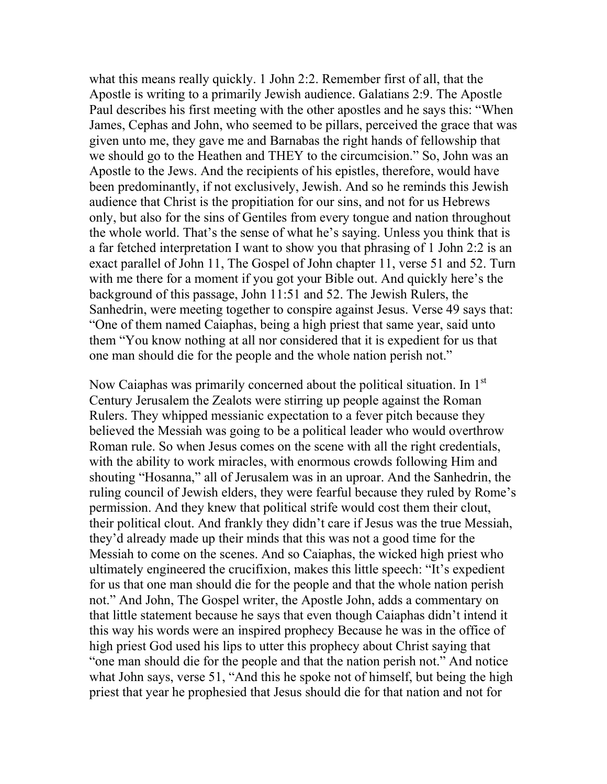what this means really quickly. 1 John 2:2. Remember first of all, that the Apostle is writing to a primarily Jewish audience. Galatians 2:9. The Apostle Paul describes his first meeting with the other apostles and he says this: "When James, Cephas and John, who seemed to be pillars, perceived the grace that was given unto me, they gave me and Barnabas the right hands of fellowship that we should go to the Heathen and THEY to the circumcision." So, John was an Apostle to the Jews. And the recipients of his epistles, therefore, would have been predominantly, if not exclusively, Jewish. And so he reminds this Jewish audience that Christ is the propitiation for our sins, and not for us Hebrews only, but also for the sins of Gentiles from every tongue and nation throughout the whole world. That's the sense of what he's saying. Unless you think that is a far fetched interpretation I want to show you that phrasing of 1 John 2:2 is an exact parallel of John 11, The Gospel of John chapter 11, verse 51 and 52. Turn with me there for a moment if you got your Bible out. And quickly here's the background of this passage, John 11:51 and 52. The Jewish Rulers, the Sanhedrin, were meeting together to conspire against Jesus. Verse 49 says that: "One of them named Caiaphas, being a high priest that same year, said unto them "You know nothing at all nor considered that it is expedient for us that one man should die for the people and the whole nation perish not."

Now Caiaphas was primarily concerned about the political situation. In 1<sup>st</sup> Century Jerusalem the Zealots were stirring up people against the Roman Rulers. They whipped messianic expectation to a fever pitch because they believed the Messiah was going to be a political leader who would overthrow Roman rule. So when Jesus comes on the scene with all the right credentials, with the ability to work miracles, with enormous crowds following Him and shouting "Hosanna," all of Jerusalem was in an uproar. And the Sanhedrin, the ruling council of Jewish elders, they were fearful because they ruled by Rome's permission. And they knew that political strife would cost them their clout, their political clout. And frankly they didn't care if Jesus was the true Messiah, they'd already made up their minds that this was not a good time for the Messiah to come on the scenes. And so Caiaphas, the wicked high priest who ultimately engineered the crucifixion, makes this little speech: "It's expedient for us that one man should die for the people and that the whole nation perish not." And John, The Gospel writer, the Apostle John, adds a commentary on that little statement because he says that even though Caiaphas didn't intend it this way his words were an inspired prophecy Because he was in the office of high priest God used his lips to utter this prophecy about Christ saying that "one man should die for the people and that the nation perish not." And notice what John says, verse 51, "And this he spoke not of himself, but being the high priest that year he prophesied that Jesus should die for that nation and not for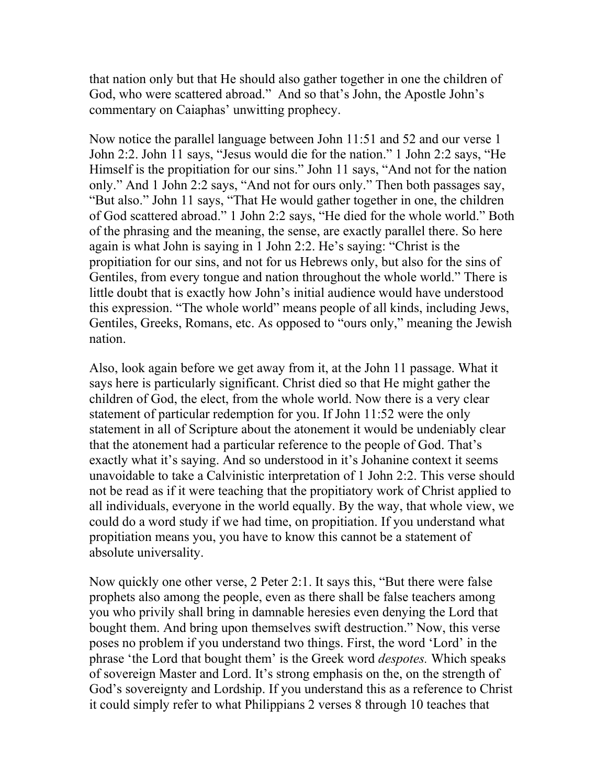that nation only but that He should also gather together in one the children of God, who were scattered abroad." And so that's John, the Apostle John's commentary on Caiaphas' unwitting prophecy.

Now notice the parallel language between John 11:51 and 52 and our verse 1 John 2:2. John 11 says, "Jesus would die for the nation." 1 John 2:2 says, "He Himself is the propitiation for our sins." John 11 says, "And not for the nation only." And 1 John 2:2 says, "And not for ours only." Then both passages say, "But also." John 11 says, "That He would gather together in one, the children of God scattered abroad." 1 John 2:2 says, "He died for the whole world." Both of the phrasing and the meaning, the sense, are exactly parallel there. So here again is what John is saying in 1 John 2:2. He's saying: "Christ is the propitiation for our sins, and not for us Hebrews only, but also for the sins of Gentiles, from every tongue and nation throughout the whole world." There is little doubt that is exactly how John's initial audience would have understood this expression. "The whole world" means people of all kinds, including Jews, Gentiles, Greeks, Romans, etc. As opposed to "ours only," meaning the Jewish nation.

Also, look again before we get away from it, at the John 11 passage. What it says here is particularly significant. Christ died so that He might gather the children of God, the elect, from the whole world. Now there is a very clear statement of particular redemption for you. If John 11:52 were the only statement in all of Scripture about the atonement it would be undeniably clear that the atonement had a particular reference to the people of God. That's exactly what it's saying. And so understood in it's Johanine context it seems unavoidable to take a Calvinistic interpretation of 1 John 2:2. This verse should not be read as if it were teaching that the propitiatory work of Christ applied to all individuals, everyone in the world equally. By the way, that whole view, we could do a word study if we had time, on propitiation. If you understand what propitiation means you, you have to know this cannot be a statement of absolute universality.

Now quickly one other verse, 2 Peter 2:1. It says this, "But there were false prophets also among the people, even as there shall be false teachers among you who privily shall bring in damnable heresies even denying the Lord that bought them. And bring upon themselves swift destruction." Now, this verse poses no problem if you understand two things. First, the word 'Lord' in the phrase 'the Lord that bought them' is the Greek word despotes. Which speaks of sovereign Master and Lord. It's strong emphasis on the, on the strength of God's sovereignty and Lordship. If you understand this as a reference to Christ it could simply refer to what Philippians 2 verses 8 through 10 teaches that